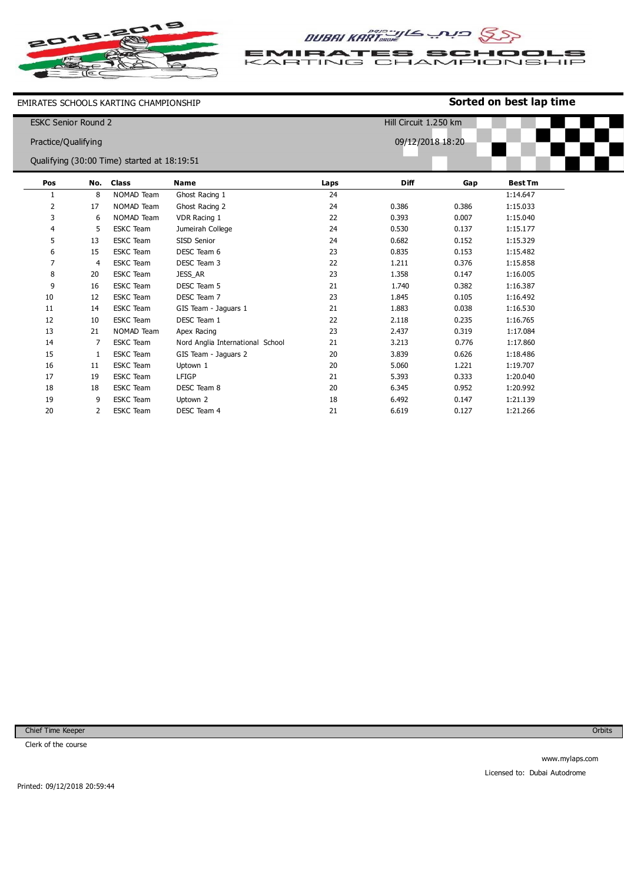

DUBAI KARTOOME CIA SS

**TIF** RAT ES SCH tool Er S TING CHAMPION VSHIP Ł  $\leq$   $\triangle$  F ₹

EMIRATES SCHOOLS KARTING CHAMPIONSHIP

## **Sorted on best lap time**

| <b>ESKC Senior Round 2</b><br>Practice/Qualifying |     |                                             |                                  |                  | Hill Circuit 1.250 km |       |                |  |
|---------------------------------------------------|-----|---------------------------------------------|----------------------------------|------------------|-----------------------|-------|----------------|--|
|                                                   |     |                                             |                                  | 09/12/2018 18:20 |                       |       |                |  |
|                                                   |     | Qualifying (30:00 Time) started at 18:19:51 |                                  |                  |                       |       |                |  |
| Pos                                               | No. | <b>Class</b>                                | <b>Name</b>                      | Laps             | <b>Diff</b>           | Gap   | <b>Best Tm</b> |  |
| 1                                                 | 8   | NOMAD Team                                  | Ghost Racing 1                   | 24               |                       |       | 1:14.647       |  |
| 2                                                 | 17  | NOMAD Team                                  | Ghost Racing 2                   | 24               | 0.386                 | 0.386 | 1:15.033       |  |
| 3                                                 | 6   | NOMAD Team                                  | VDR Racing 1                     | 22               | 0.393                 | 0.007 | 1:15.040       |  |
| 4                                                 | 5   | <b>ESKC</b> Team                            | Jumeirah College                 | 24               | 0.530                 | 0.137 | 1:15.177       |  |
| 5                                                 | 13  | <b>ESKC Team</b>                            | SISD Senior                      | 24               | 0.682                 | 0.152 | 1:15.329       |  |
| 6                                                 | 15  | <b>ESKC</b> Team                            | DESC Team 6                      | 23               | 0.835                 | 0.153 | 1:15.482       |  |
| $\overline{7}$                                    | 4   | <b>ESKC</b> Team                            | DESC Team 3                      | 22               | 1.211                 | 0.376 | 1:15.858       |  |
| 8                                                 | 20  | <b>ESKC</b> Team                            | JESS_AR                          | 23               | 1.358                 | 0.147 | 1:16.005       |  |
| 9                                                 | 16  | <b>ESKC Team</b>                            | DESC Team 5                      | 21               | 1.740                 | 0.382 | 1:16.387       |  |
| 10                                                | 12  | <b>ESKC</b> Team                            | DESC Team 7                      | 23               | 1.845                 | 0.105 | 1:16.492       |  |
| 11                                                | 14  | <b>ESKC</b> Team                            | GIS Team - Jaquars 1             | 21               | 1.883                 | 0.038 | 1:16.530       |  |
| 12                                                | 10  | <b>ESKC</b> Team                            | DESC Team 1                      | 22               | 2.118                 | 0.235 | 1:16.765       |  |
| 13                                                | 21  | NOMAD Team                                  | Apex Racing                      | 23               | 2.437                 | 0.319 | 1:17.084       |  |
| 14                                                | 7   | <b>ESKC Team</b>                            | Nord Anglia International School | 21               | 3.213                 | 0.776 | 1:17.860       |  |
| 15                                                | 1   | <b>ESKC</b> Team                            | GIS Team - Jaguars 2             | 20               | 3.839                 | 0.626 | 1:18.486       |  |
| 16                                                | 11  | <b>ESKC</b> Team                            | Uptown 1                         | 20               | 5.060                 | 1.221 | 1:19.707       |  |
| 17                                                | 19  | <b>ESKC</b> Team                            | LFIGP                            | 21               | 5.393                 | 0.333 | 1:20.040       |  |
| 18                                                | 18  | <b>ESKC</b> Team                            | DESC Team 8                      | 20               | 6.345                 | 0.952 | 1:20.992       |  |
| 19                                                | 9   | <b>ESKC Team</b>                            | Uptown 2                         | 18               | 6.492                 | 0.147 | 1:21.139       |  |

21

6.619

0.127

1:21.266

Chief Time Keeper

20

2 ESKC Team

DESC Team 4

Clerk of the course

Orbits